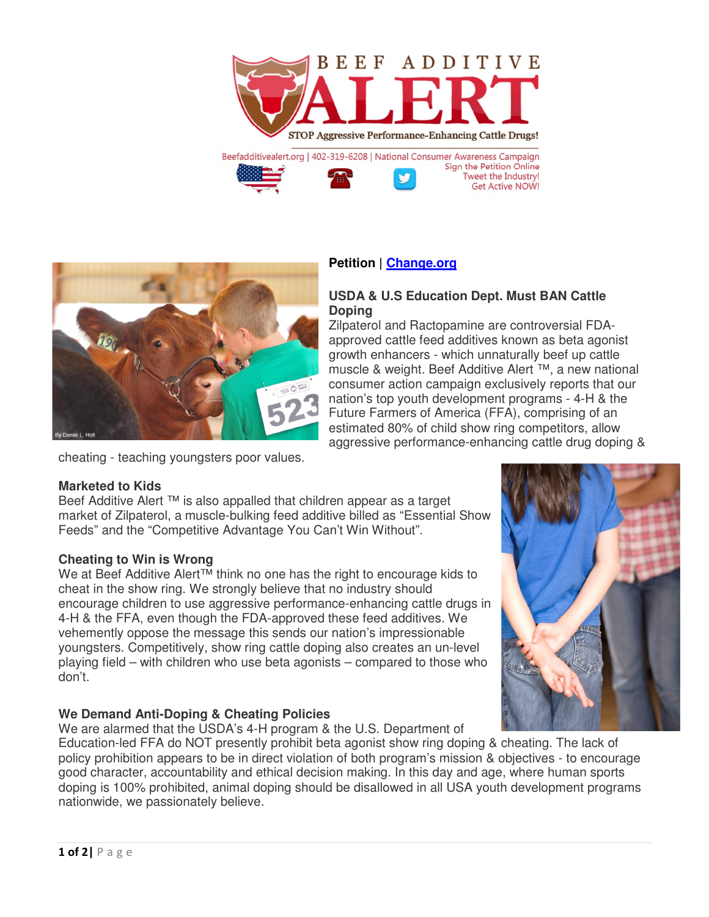



# **Petition | Change.org**

### **USDA & U.S Education Dept. Must BAN Cattle Doping**

Zilpaterol and Ractopamine are controversial FDAapproved cattle feed additives known as beta agonist growth enhancers - which unnaturally beef up cattle muscle & weight. Beef Additive Alert ™, a new national consumer action campaign exclusively reports that our nation's top youth development programs - 4-H & the Future Farmers of America (FFA), comprising of an estimated 80% of child show ring competitors, allow aggressive performance-enhancing cattle drug doping &

cheating - teaching youngsters poor values.

#### **Marketed to Kids**

Beef Additive Alert ™ is also appalled that children appear as a target market of Zilpaterol, a muscle-bulking feed additive billed as "Essential Show Feeds" and the "Competitive Advantage You Can't Win Without".

## **Cheating to Win is Wrong**

We at Beef Additive Alert<sup>™</sup> think no one has the right to encourage kids to cheat in the show ring. We strongly believe that no industry should encourage children to use aggressive performance-enhancing cattle drugs in 4-H & the FFA, even though the FDA-approved these feed additives. We vehemently oppose the message this sends our nation's impressionable youngsters. Competitively, show ring cattle doping also creates an un-level playing field – with children who use beta agonists – compared to those who don't.

## **We Demand Anti-Doping & Cheating Policies**

We are alarmed that the USDA's 4-H program & the U.S. Department of

Education-led FFA do NOT presently prohibit beta agonist show ring doping & cheating. The lack of policy prohibition appears to be in direct violation of both program's mission & objectives - to encourage good character, accountability and ethical decision making. In this day and age, where human sports doping is 100% prohibited, animal doping should be disallowed in all USA youth development programs nationwide, we passionately believe.